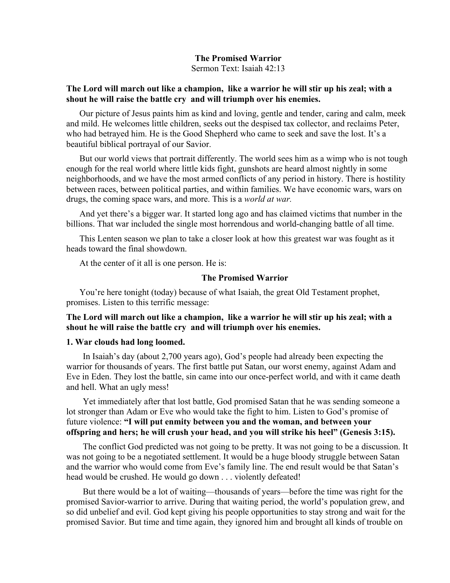# **The Promised Warrior** Sermon Text: Isaiah 42:13

# **The Lord will march out like a champion, like a warrior he will stir up his zeal; with a shout he will raise the battle cry and will triumph over his enemies.**

Our picture of Jesus paints him as kind and loving, gentle and tender, caring and calm, meek and mild. He welcomes little children, seeks out the despised tax collector, and reclaims Peter, who had betrayed him. He is the Good Shepherd who came to seek and save the lost. It's a beautiful biblical portrayal of our Savior.

But our world views that portrait differently. The world sees him as a wimp who is not tough enough for the real world where little kids fight, gunshots are heard almost nightly in some neighborhoods, and we have the most armed conflicts of any period in history. There is hostility between races, between political parties, and within families. We have economic wars, wars on drugs, the coming space wars, and more. This is a *world at war.*

And yet there's a bigger war. It started long ago and has claimed victims that number in the billions. That war included the single most horrendous and world-changing battle of all time.

This Lenten season we plan to take a closer look at how this greatest war was fought as it heads toward the final showdown.

At the center of it all is one person. He is:

#### **The Promised Warrior**

You're here tonight (today) because of what Isaiah, the great Old Testament prophet, promises. Listen to this terrific message:

### **The Lord will march out like a champion, like a warrior he will stir up his zeal; with a shout he will raise the battle cry and will triumph over his enemies.**

#### **1. War clouds had long loomed.**

In Isaiah's day (about 2,700 years ago), God's people had already been expecting the warrior for thousands of years. The first battle put Satan, our worst enemy, against Adam and Eve in Eden. They lost the battle, sin came into our once-perfect world, and with it came death and hell. What an ugly mess!

Yet immediately after that lost battle, God promised Satan that he was sending someone a lot stronger than Adam or Eve who would take the fight to him. Listen to God's promise of future violence: **"I will put enmity between you and the woman, and between your offspring and hers; he will crush your head, and you will strike his heel" (Genesis 3:15).**

The conflict God predicted was not going to be pretty. It was not going to be a discussion. It was not going to be a negotiated settlement. It would be a huge bloody struggle between Satan and the warrior who would come from Eve's family line. The end result would be that Satan's head would be crushed. He would go down . . . violently defeated!

But there would be a lot of waiting—thousands of years—before the time was right for the promised Savior-warrior to arrive. During that waiting period, the world's population grew, and so did unbelief and evil. God kept giving his people opportunities to stay strong and wait for the promised Savior. But time and time again, they ignored him and brought all kinds of trouble on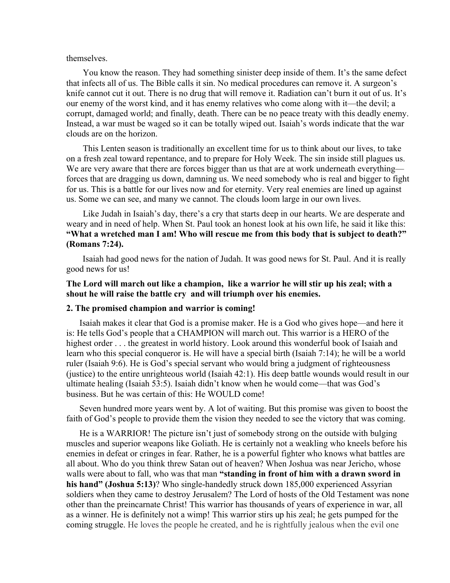### themselves.

You know the reason. They had something sinister deep inside of them. It's the same defect that infects all of us. The Bible calls it sin. No medical procedures can remove it. A surgeon's knife cannot cut it out. There is no drug that will remove it. Radiation can't burn it out of us. It's our enemy of the worst kind, and it has enemy relatives who come along with it—the devil; a corrupt, damaged world; and finally, death. There can be no peace treaty with this deadly enemy. Instead, a war must be waged so it can be totally wiped out. Isaiah's words indicate that the war clouds are on the horizon.

This Lenten season is traditionally an excellent time for us to think about our lives, to take on a fresh zeal toward repentance, and to prepare for Holy Week. The sin inside still plagues us. We are very aware that there are forces bigger than us that are at work underneath everything forces that are dragging us down, damning us. We need somebody who is real and bigger to fight for us. This is a battle for our lives now and for eternity. Very real enemies are lined up against us. Some we can see, and many we cannot. The clouds loom large in our own lives.

Like Judah in Isaiah's day, there's a cry that starts deep in our hearts. We are desperate and weary and in need of help. When St. Paul took an honest look at his own life, he said it like this: **"What a wretched man I am! Who will rescue me from this body that is subject to death?" (Romans 7:24).**

Isaiah had good news for the nation of Judah. It was good news for St. Paul. And it is really good news for us!

# **The Lord will march out like a champion, like a warrior he will stir up his zeal; with a shout he will raise the battle cry and will triumph over his enemies.**

#### **2. The promised champion and warrior is coming!**

Isaiah makes it clear that God is a promise maker. He is a God who gives hope—and here it is: He tells God's people that a CHAMPION will march out. This warrior is a HERO of the highest order . . . the greatest in world history. Look around this wonderful book of Isaiah and learn who this special conqueror is. He will have a special birth (Isaiah 7:14); he will be a world ruler (Isaiah 9:6). He is God's special servant who would bring a judgment of righteousness (justice) to the entire unrighteous world (Isaiah 42:1). His deep battle wounds would result in our ultimate healing (Isaiah 53:5). Isaiah didn't know when he would come—that was God's business. But he was certain of this: He WOULD come!

Seven hundred more years went by. A lot of waiting. But this promise was given to boost the faith of God's people to provide them the vision they needed to see the victory that was coming.

He is a WARRIOR! The picture isn't just of somebody strong on the outside with bulging muscles and superior weapons like Goliath. He is certainly not a weakling who kneels before his enemies in defeat or cringes in fear. Rather, he is a powerful fighter who knows what battles are all about. Who do you think threw Satan out of heaven? When Joshua was near Jericho, whose walls were about to fall, who was that man **"standing in front of him with a drawn sword in his hand" (Joshua 5:13)**? Who single-handedly struck down 185,000 experienced Assyrian soldiers when they came to destroy Jerusalem? The Lord of hosts of the Old Testament was none other than the preincarnate Christ! This warrior has thousands of years of experience in war, all as a winner. He is definitely not a wimp! This warrior stirs up his zeal; he gets pumped for the coming struggle. He loves the people he created, and he is rightfully jealous when the evil one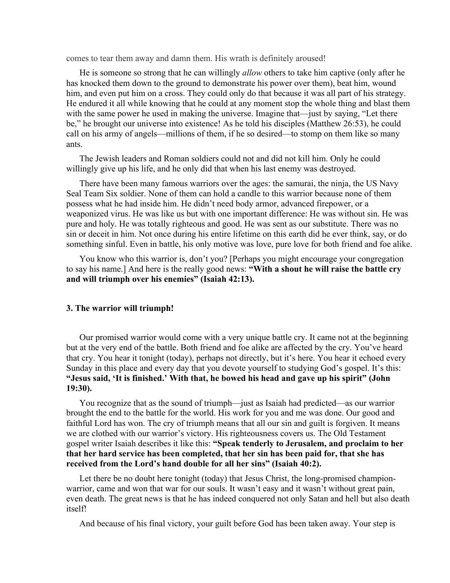comes to tear them away and damn them. His wrath is definitely aroused!

He is someone so strong that he can willingly *allow* others to take him captive (only after he has knocked them down to the ground to demonstrate his power over them), beat him, wound him, and even put him on a cross. They could only do that because it was all part of his strategy. He endured it all while knowing that he could at any moment stop the whole thing and blast them with the same power he used in making the universe. Imagine that—just by saying, "Let there be," he brought our universe into existence! As he told his disciples (Matthew 26:53), he could call on his army of angels—millions of them, if he so desired—to stomp on them like so many ants.

The Jewish leaders and Roman soldiers could not and did not kill him. Only he could willingly give up his life, and he only did that when his last enemy was destroyed.

There have been many famous warriors over the ages: the samurai, the ninja, the US Navy Seal Team Six soldier. None of them can hold a candle to this warrior because none of them possess what he had inside him. He didn't need body armor, advanced firepower, or a weaponized virus. He was like us but with one important difference: He was without sin. He was pure and holy. He was totally righteous and good. He was sent as our substitute. There was no sin or deceit in him. Not once during his entire lifetime on this earth did he ever think, say, or do something sinful. Even in battle, his only motive was love, pure love for both friend and foe alike.

You know who this warrior is, don't you? [Perhaps you might encourage your congregation to say his name.] And here is the really good news: **"With a shout he will raise the battle cry and will triumph over his enemies" (Isaiah 42:13).**

#### **3. The warrior will triumph!**

Our promised warrior would come with a very unique battle cry. It came not at the beginning but at the very end of the battle. Both friend and foe alike are affected by the cry. You've heard that cry. You hear it tonight (today), perhaps not directly, but it's here. You hear it echoed every Sunday in this place and every day that you devote yourself to studying God's gospel. It's this: **"Jesus said, 'It is finished.' With that, he bowed his head and gave up his spirit" (John 19:30).**

You recognize that as the sound of triumph—just as Isaiah had predicted—as our warrior brought the end to the battle for the world. His work for you and me was done. Our good and faithful Lord has won. The cry of triumph means that all our sin and guilt is forgiven. It means we are clothed with our warrior's victory. His righteousness covers us. The Old Testament gospel writer Isaiah describes it like this: **"Speak tenderly to Jerusalem, and proclaim to her that her hard service has been completed, that her sin has been paid for, that she has received from the Lord's hand double for all her sins" (Isaiah 40:2).**

Let there be no doubt here tonight (today) that Jesus Christ, the long-promised championwarrior, came and won that war for our souls. It wasn't easy and it wasn't without great pain, even death. The great news is that he has indeed conquered not only Satan and hell but also death itself!

And because of his final victory, your guilt before God has been taken away. Your step is